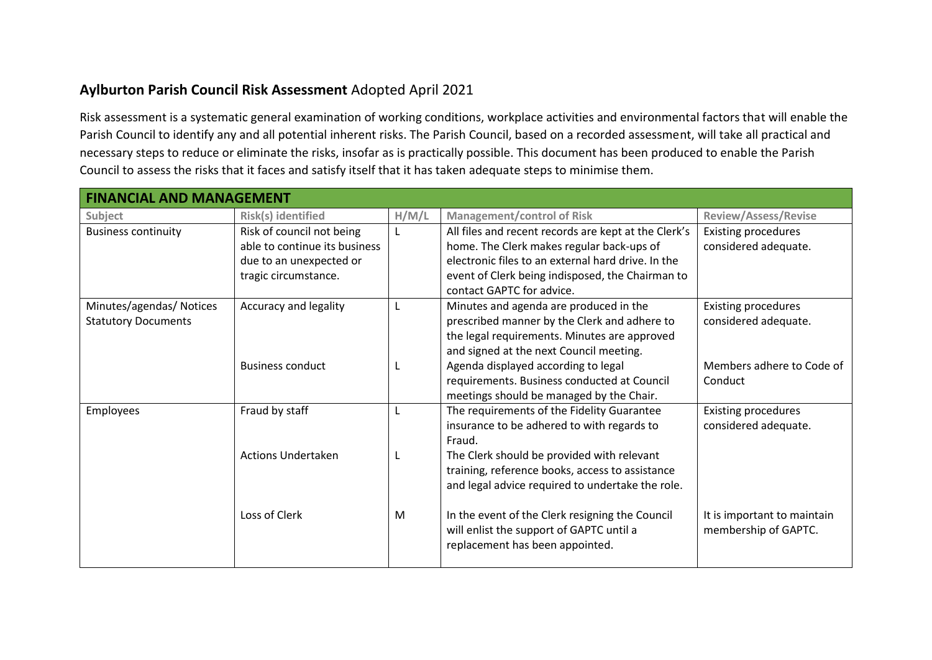## **Aylburton Parish Council Risk Assessment** Adopted April 2021

Risk assessment is a systematic general examination of working conditions, workplace activities and environmental factors that will enable the Parish Council to identify any and all potential inherent risks. The Parish Council, based on a recorded assessment, will take all practical and necessary steps to reduce or eliminate the risks, insofar as is practically possible. This document has been produced to enable the Parish Council to assess the risks that it faces and satisfy itself that it has taken adequate steps to minimise them.

| <b>FINANCIAL AND MANAGEMENT</b> |                               |       |                                                      |                             |  |  |
|---------------------------------|-------------------------------|-------|------------------------------------------------------|-----------------------------|--|--|
| Subject                         | Risk(s) identified            | H/M/L | <b>Management/control of Risk</b>                    | <b>Review/Assess/Revise</b> |  |  |
| <b>Business continuity</b>      | Risk of council not being     |       | All files and recent records are kept at the Clerk's | <b>Existing procedures</b>  |  |  |
|                                 | able to continue its business |       | home. The Clerk makes regular back-ups of            | considered adequate.        |  |  |
|                                 | due to an unexpected or       |       | electronic files to an external hard drive. In the   |                             |  |  |
|                                 | tragic circumstance.          |       | event of Clerk being indisposed, the Chairman to     |                             |  |  |
|                                 |                               |       | contact GAPTC for advice.                            |                             |  |  |
| Minutes/agendas/ Notices        | Accuracy and legality         | L     | Minutes and agenda are produced in the               | <b>Existing procedures</b>  |  |  |
| <b>Statutory Documents</b>      |                               |       | prescribed manner by the Clerk and adhere to         | considered adequate.        |  |  |
|                                 |                               |       | the legal requirements. Minutes are approved         |                             |  |  |
|                                 |                               |       | and signed at the next Council meeting.              |                             |  |  |
|                                 | <b>Business conduct</b>       |       | Agenda displayed according to legal                  | Members adhere to Code of   |  |  |
|                                 |                               |       | requirements. Business conducted at Council          | Conduct                     |  |  |
|                                 |                               |       | meetings should be managed by the Chair.             |                             |  |  |
| Employees                       | Fraud by staff                | L.    | The requirements of the Fidelity Guarantee           | <b>Existing procedures</b>  |  |  |
|                                 |                               |       | insurance to be adhered to with regards to<br>Fraud. | considered adequate.        |  |  |
|                                 | <b>Actions Undertaken</b>     |       | The Clerk should be provided with relevant           |                             |  |  |
|                                 |                               |       | training, reference books, access to assistance      |                             |  |  |
|                                 |                               |       | and legal advice required to undertake the role.     |                             |  |  |
|                                 |                               |       |                                                      |                             |  |  |
|                                 | Loss of Clerk                 | M     | In the event of the Clerk resigning the Council      | It is important to maintain |  |  |
|                                 |                               |       | will enlist the support of GAPTC until a             | membership of GAPTC.        |  |  |
|                                 |                               |       | replacement has been appointed.                      |                             |  |  |
|                                 |                               |       |                                                      |                             |  |  |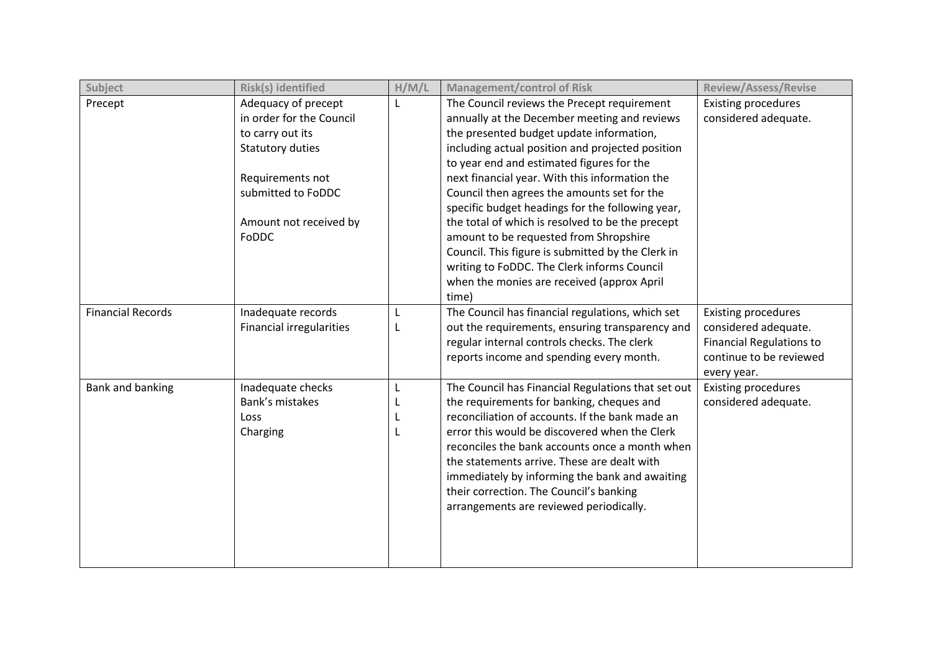| Subject                  | Risk(s) identified              | H/M/L | <b>Management/control of Risk</b>                  | <b>Review/Assess/Revise</b>     |
|--------------------------|---------------------------------|-------|----------------------------------------------------|---------------------------------|
| Precept                  | Adequacy of precept             | L     | The Council reviews the Precept requirement        | <b>Existing procedures</b>      |
|                          | in order for the Council        |       | annually at the December meeting and reviews       | considered adequate.            |
|                          | to carry out its                |       | the presented budget update information,           |                                 |
|                          | <b>Statutory duties</b>         |       | including actual position and projected position   |                                 |
|                          |                                 |       | to year end and estimated figures for the          |                                 |
|                          | Requirements not                |       | next financial year. With this information the     |                                 |
|                          | submitted to FoDDC              |       | Council then agrees the amounts set for the        |                                 |
|                          |                                 |       | specific budget headings for the following year,   |                                 |
|                          | Amount not received by          |       | the total of which is resolved to be the precept   |                                 |
|                          | FoDDC                           |       | amount to be requested from Shropshire             |                                 |
|                          |                                 |       | Council. This figure is submitted by the Clerk in  |                                 |
|                          |                                 |       | writing to FoDDC. The Clerk informs Council        |                                 |
|                          |                                 |       | when the monies are received (approx April         |                                 |
|                          |                                 |       | time)                                              |                                 |
| <b>Financial Records</b> | Inadequate records              | L     | The Council has financial regulations, which set   | <b>Existing procedures</b>      |
|                          | <b>Financial irregularities</b> |       | out the requirements, ensuring transparency and    | considered adequate.            |
|                          |                                 |       | regular internal controls checks. The clerk        | <b>Financial Regulations to</b> |
|                          |                                 |       | reports income and spending every month.           | continue to be reviewed         |
|                          |                                 |       |                                                    | every year.                     |
| Bank and banking         | Inadequate checks               | L     | The Council has Financial Regulations that set out | <b>Existing procedures</b>      |
|                          | Bank's mistakes                 | L     | the requirements for banking, cheques and          | considered adequate.            |
|                          | Loss                            | L     | reconciliation of accounts. If the bank made an    |                                 |
|                          | Charging                        |       | error this would be discovered when the Clerk      |                                 |
|                          |                                 |       | reconciles the bank accounts once a month when     |                                 |
|                          |                                 |       | the statements arrive. These are dealt with        |                                 |
|                          |                                 |       | immediately by informing the bank and awaiting     |                                 |
|                          |                                 |       | their correction. The Council's banking            |                                 |
|                          |                                 |       | arrangements are reviewed periodically.            |                                 |
|                          |                                 |       |                                                    |                                 |
|                          |                                 |       |                                                    |                                 |
|                          |                                 |       |                                                    |                                 |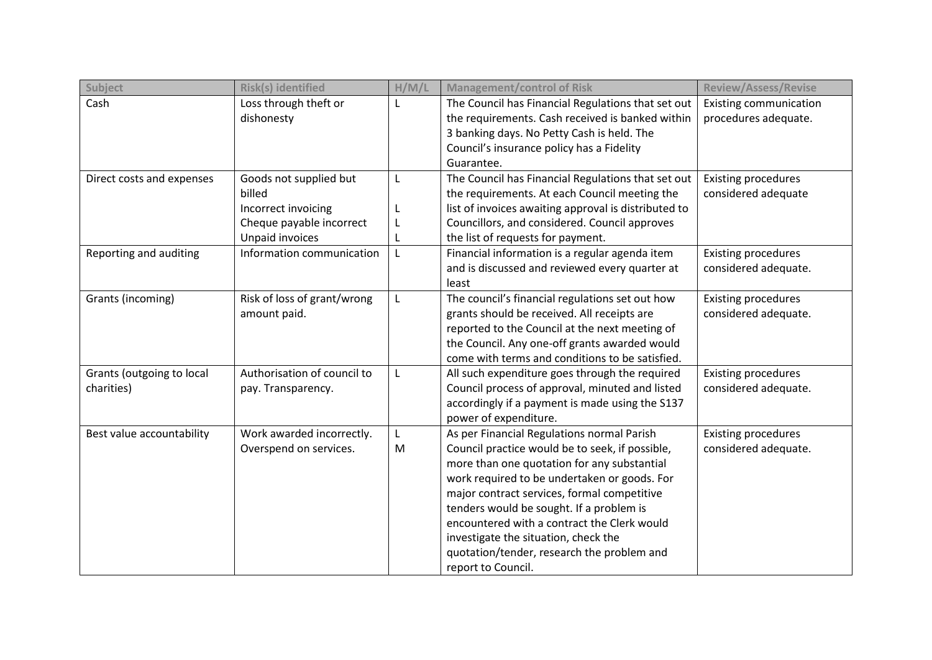| Subject                   | Risk(s) identified          | H/M/L        | <b>Management/control of Risk</b>                    | <b>Review/Assess/Revise</b>   |
|---------------------------|-----------------------------|--------------|------------------------------------------------------|-------------------------------|
| Cash                      | Loss through theft or       | $\mathsf{L}$ | The Council has Financial Regulations that set out   | <b>Existing communication</b> |
|                           | dishonesty                  |              | the requirements. Cash received is banked within     | procedures adequate.          |
|                           |                             |              | 3 banking days. No Petty Cash is held. The           |                               |
|                           |                             |              | Council's insurance policy has a Fidelity            |                               |
|                           |                             |              | Guarantee.                                           |                               |
| Direct costs and expenses | Goods not supplied but      | L            | The Council has Financial Regulations that set out   | <b>Existing procedures</b>    |
|                           | billed                      |              | the requirements. At each Council meeting the        | considered adequate           |
|                           | Incorrect invoicing         | L            | list of invoices awaiting approval is distributed to |                               |
|                           | Cheque payable incorrect    | L            | Councillors, and considered. Council approves        |                               |
|                           | Unpaid invoices             |              | the list of requests for payment.                    |                               |
| Reporting and auditing    | Information communication   | L            | Financial information is a regular agenda item       | <b>Existing procedures</b>    |
|                           |                             |              | and is discussed and reviewed every quarter at       | considered adequate.          |
|                           |                             |              | least                                                |                               |
| Grants (incoming)         | Risk of loss of grant/wrong | L            | The council's financial regulations set out how      | <b>Existing procedures</b>    |
|                           | amount paid.                |              | grants should be received. All receipts are          | considered adequate.          |
|                           |                             |              | reported to the Council at the next meeting of       |                               |
|                           |                             |              | the Council. Any one-off grants awarded would        |                               |
|                           |                             |              | come with terms and conditions to be satisfied.      |                               |
| Grants (outgoing to local | Authorisation of council to | $\mathbf{L}$ | All such expenditure goes through the required       | <b>Existing procedures</b>    |
| charities)                | pay. Transparency.          |              | Council process of approval, minuted and listed      | considered adequate.          |
|                           |                             |              | accordingly if a payment is made using the S137      |                               |
|                           |                             |              | power of expenditure.                                |                               |
| Best value accountability | Work awarded incorrectly.   | L            | As per Financial Regulations normal Parish           | <b>Existing procedures</b>    |
|                           | Overspend on services.      | M            | Council practice would be to seek, if possible,      | considered adequate.          |
|                           |                             |              | more than one quotation for any substantial          |                               |
|                           |                             |              | work required to be undertaken or goods. For         |                               |
|                           |                             |              | major contract services, formal competitive          |                               |
|                           |                             |              | tenders would be sought. If a problem is             |                               |
|                           |                             |              | encountered with a contract the Clerk would          |                               |
|                           |                             |              | investigate the situation, check the                 |                               |
|                           |                             |              | quotation/tender, research the problem and           |                               |
|                           |                             |              | report to Council.                                   |                               |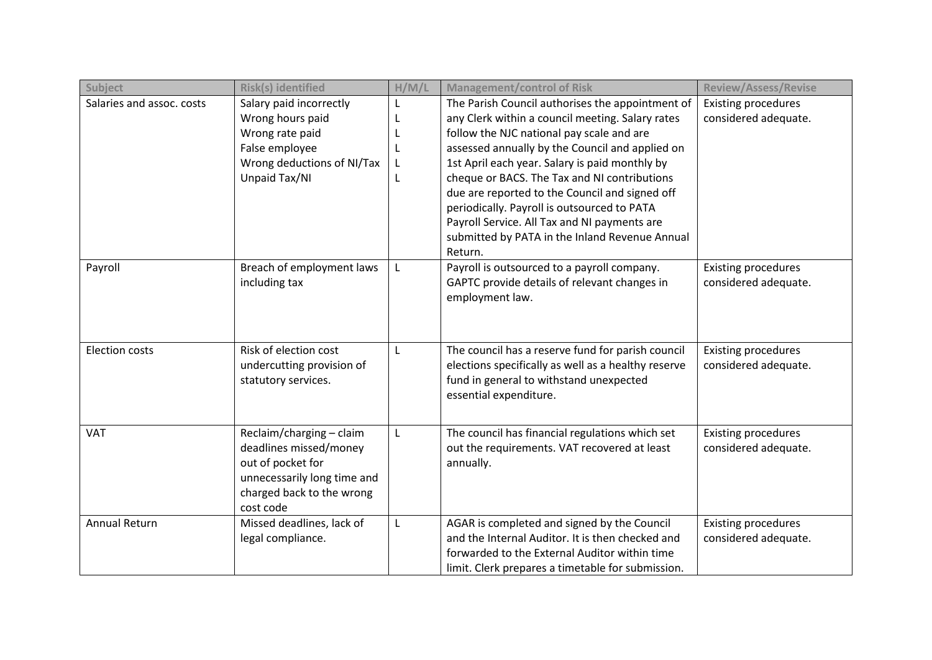| Subject                   | Risk(s) identified                                                                                                                               | H/M/L                 | <b>Management/control of Risk</b>                                                                                                                                                                                                                                                                                                                                                                                                                                                                                    | <b>Review/Assess/Revise</b>                        |
|---------------------------|--------------------------------------------------------------------------------------------------------------------------------------------------|-----------------------|----------------------------------------------------------------------------------------------------------------------------------------------------------------------------------------------------------------------------------------------------------------------------------------------------------------------------------------------------------------------------------------------------------------------------------------------------------------------------------------------------------------------|----------------------------------------------------|
| Salaries and assoc. costs | Salary paid incorrectly<br>Wrong hours paid<br>Wrong rate paid<br>False employee<br>Wrong deductions of NI/Tax<br>Unpaid Tax/NI                  | L<br>L<br>L<br>L<br>L | The Parish Council authorises the appointment of<br>any Clerk within a council meeting. Salary rates<br>follow the NJC national pay scale and are<br>assessed annually by the Council and applied on<br>1st April each year. Salary is paid monthly by<br>cheque or BACS. The Tax and NI contributions<br>due are reported to the Council and signed off<br>periodically. Payroll is outsourced to PATA<br>Payroll Service. All Tax and NI payments are<br>submitted by PATA in the Inland Revenue Annual<br>Return. | <b>Existing procedures</b><br>considered adequate. |
| Payroll                   | Breach of employment laws<br>including tax                                                                                                       |                       | Payroll is outsourced to a payroll company.<br>GAPTC provide details of relevant changes in<br>employment law.                                                                                                                                                                                                                                                                                                                                                                                                       | <b>Existing procedures</b><br>considered adequate. |
| <b>Election costs</b>     | Risk of election cost<br>undercutting provision of<br>statutory services.                                                                        | L                     | The council has a reserve fund for parish council<br>elections specifically as well as a healthy reserve<br>fund in general to withstand unexpected<br>essential expenditure.                                                                                                                                                                                                                                                                                                                                        | <b>Existing procedures</b><br>considered adequate. |
| <b>VAT</b>                | Reclaim/charging - claim<br>deadlines missed/money<br>out of pocket for<br>unnecessarily long time and<br>charged back to the wrong<br>cost code | L                     | The council has financial regulations which set<br>out the requirements. VAT recovered at least<br>annually.                                                                                                                                                                                                                                                                                                                                                                                                         | <b>Existing procedures</b><br>considered adequate. |
| <b>Annual Return</b>      | Missed deadlines, lack of<br>legal compliance.                                                                                                   | L                     | AGAR is completed and signed by the Council<br>and the Internal Auditor. It is then checked and<br>forwarded to the External Auditor within time<br>limit. Clerk prepares a timetable for submission.                                                                                                                                                                                                                                                                                                                | <b>Existing procedures</b><br>considered adequate. |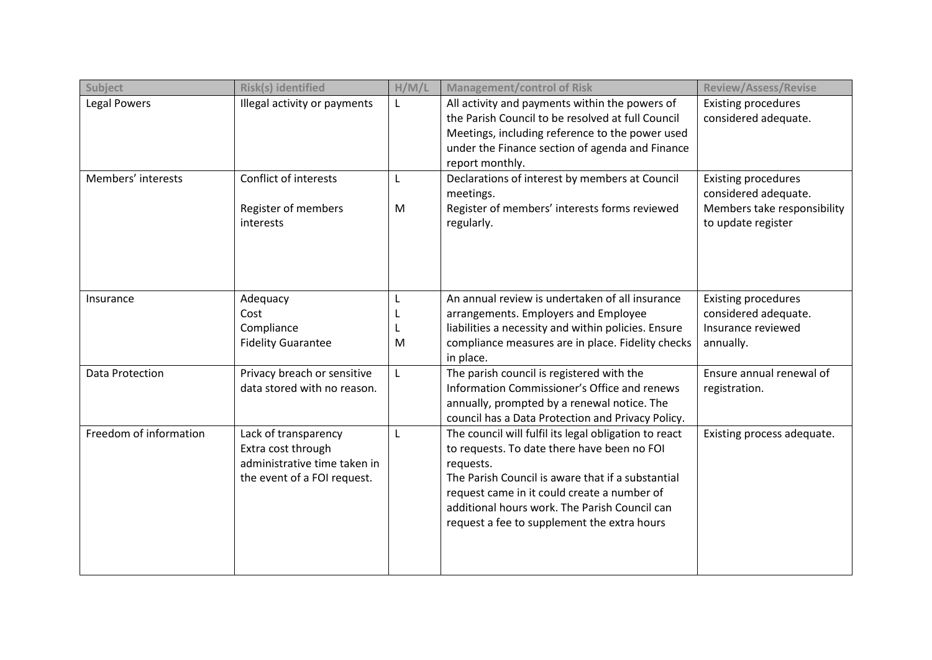| Subject                | <b>Risk(s) identified</b>                                                                                 | H/M/L       | <b>Management/control of Risk</b>                                                                                                                                                                                                                                                                                     | <b>Review/Assess/Revise</b>                                                                             |
|------------------------|-----------------------------------------------------------------------------------------------------------|-------------|-----------------------------------------------------------------------------------------------------------------------------------------------------------------------------------------------------------------------------------------------------------------------------------------------------------------------|---------------------------------------------------------------------------------------------------------|
| <b>Legal Powers</b>    | Illegal activity or payments                                                                              |             | All activity and payments within the powers of<br>the Parish Council to be resolved at full Council<br>Meetings, including reference to the power used<br>under the Finance section of agenda and Finance<br>report monthly.                                                                                          | <b>Existing procedures</b><br>considered adequate.                                                      |
| Members' interests     | Conflict of interests<br>Register of members<br>interests                                                 | L<br>M      | Declarations of interest by members at Council<br>meetings.<br>Register of members' interests forms reviewed<br>regularly.                                                                                                                                                                                            | <b>Existing procedures</b><br>considered adequate.<br>Members take responsibility<br>to update register |
| Insurance              | Adequacy<br>Cost<br>Compliance<br><b>Fidelity Guarantee</b>                                               | L<br>L<br>M | An annual review is undertaken of all insurance<br>arrangements. Employers and Employee<br>liabilities a necessity and within policies. Ensure<br>compliance measures are in place. Fidelity checks<br>in place.                                                                                                      | <b>Existing procedures</b><br>considered adequate.<br>Insurance reviewed<br>annually.                   |
| <b>Data Protection</b> | Privacy breach or sensitive<br>data stored with no reason.                                                | L           | The parish council is registered with the<br>Information Commissioner's Office and renews<br>annually, prompted by a renewal notice. The<br>council has a Data Protection and Privacy Policy.                                                                                                                         | Ensure annual renewal of<br>registration.                                                               |
| Freedom of information | Lack of transparency<br>Extra cost through<br>administrative time taken in<br>the event of a FOI request. | L           | The council will fulfil its legal obligation to react<br>to requests. To date there have been no FOI<br>requests.<br>The Parish Council is aware that if a substantial<br>request came in it could create a number of<br>additional hours work. The Parish Council can<br>request a fee to supplement the extra hours | Existing process adequate.                                                                              |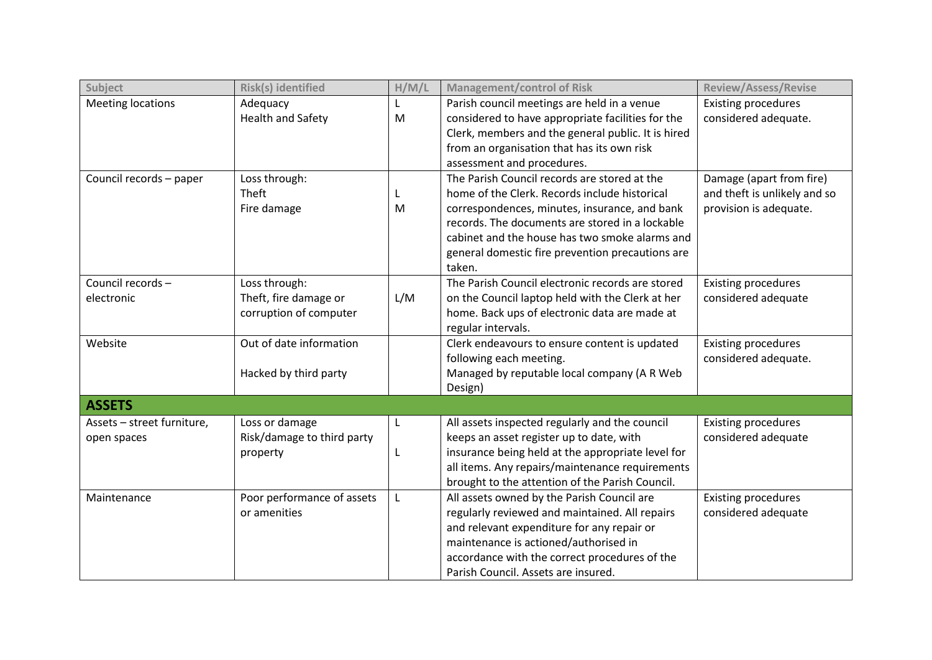| Subject                    | Risk(s) identified         | H/M/L | <b>Management/control of Risk</b>                  | <b>Review/Assess/Revise</b>  |
|----------------------------|----------------------------|-------|----------------------------------------------------|------------------------------|
| <b>Meeting locations</b>   | Adequacy                   | L     | Parish council meetings are held in a venue        | <b>Existing procedures</b>   |
|                            | <b>Health and Safety</b>   | M     | considered to have appropriate facilities for the  | considered adequate.         |
|                            |                            |       | Clerk, members and the general public. It is hired |                              |
|                            |                            |       | from an organisation that has its own risk         |                              |
|                            |                            |       | assessment and procedures.                         |                              |
| Council records - paper    | Loss through:              |       | The Parish Council records are stored at the       | Damage (apart from fire)     |
|                            | Theft                      | L     | home of the Clerk. Records include historical      | and theft is unlikely and so |
|                            | Fire damage                | M     | correspondences, minutes, insurance, and bank      | provision is adequate.       |
|                            |                            |       | records. The documents are stored in a lockable    |                              |
|                            |                            |       | cabinet and the house has two smoke alarms and     |                              |
|                            |                            |       | general domestic fire prevention precautions are   |                              |
|                            |                            |       | taken.                                             |                              |
| Council records-           | Loss through:              |       | The Parish Council electronic records are stored   | <b>Existing procedures</b>   |
| electronic                 | Theft, fire damage or      | L/M   | on the Council laptop held with the Clerk at her   | considered adequate          |
|                            | corruption of computer     |       | home. Back ups of electronic data are made at      |                              |
|                            |                            |       | regular intervals.                                 |                              |
| Website                    | Out of date information    |       | Clerk endeavours to ensure content is updated      | <b>Existing procedures</b>   |
|                            |                            |       | following each meeting.                            | considered adequate.         |
|                            | Hacked by third party      |       | Managed by reputable local company (A R Web        |                              |
|                            |                            |       | Design)                                            |                              |
| <b>ASSETS</b>              |                            |       |                                                    |                              |
| Assets - street furniture, | Loss or damage             | L     | All assets inspected regularly and the council     | <b>Existing procedures</b>   |
| open spaces                | Risk/damage to third party |       | keeps an asset register up to date, with           | considered adequate          |
|                            | property                   | L     | insurance being held at the appropriate level for  |                              |
|                            |                            |       | all items. Any repairs/maintenance requirements    |                              |
|                            |                            |       | brought to the attention of the Parish Council.    |                              |
| Maintenance                | Poor performance of assets | L     | All assets owned by the Parish Council are         | <b>Existing procedures</b>   |
|                            | or amenities               |       | regularly reviewed and maintained. All repairs     | considered adequate          |
|                            |                            |       | and relevant expenditure for any repair or         |                              |
|                            |                            |       | maintenance is actioned/authorised in              |                              |
|                            |                            |       | accordance with the correct procedures of the      |                              |
|                            |                            |       | Parish Council. Assets are insured.                |                              |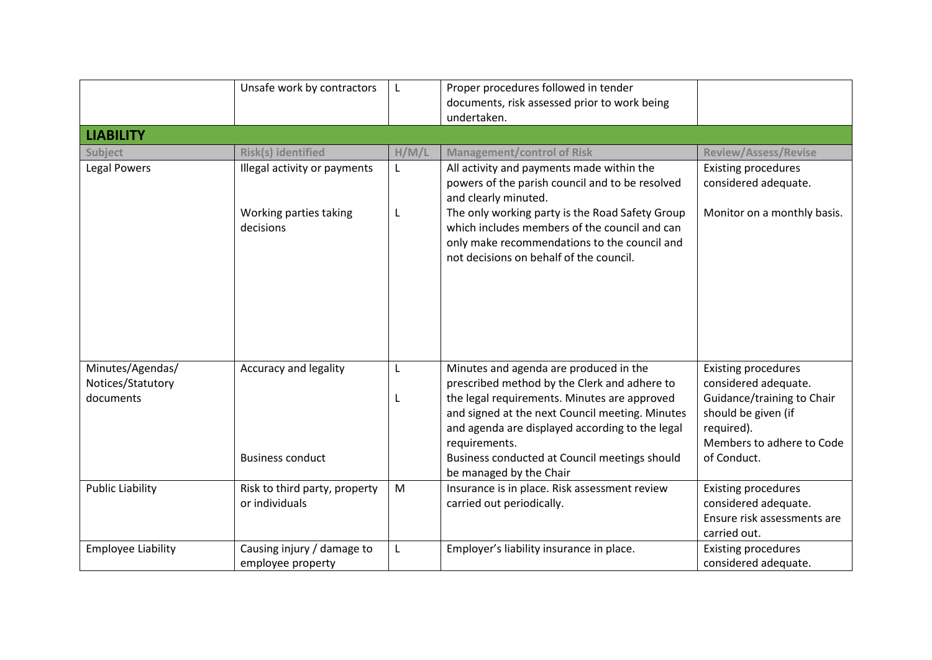|                                                    | Unsafe work by contractors                                          | L      | Proper procedures followed in tender<br>documents, risk assessed prior to work being<br>undertaken.                                                                                                                                                                                                                                       |                                                                                                                                                                   |
|----------------------------------------------------|---------------------------------------------------------------------|--------|-------------------------------------------------------------------------------------------------------------------------------------------------------------------------------------------------------------------------------------------------------------------------------------------------------------------------------------------|-------------------------------------------------------------------------------------------------------------------------------------------------------------------|
| <b>LIABILITY</b>                                   |                                                                     |        |                                                                                                                                                                                                                                                                                                                                           |                                                                                                                                                                   |
| Subject                                            | <b>Risk(s) identified</b>                                           | H/M/L  | <b>Management/control of Risk</b>                                                                                                                                                                                                                                                                                                         | <b>Review/Assess/Revise</b>                                                                                                                                       |
| <b>Legal Powers</b>                                | Illegal activity or payments<br>Working parties taking<br>decisions | L<br>L | All activity and payments made within the<br>powers of the parish council and to be resolved<br>and clearly minuted.<br>The only working party is the Road Safety Group<br>which includes members of the council and can<br>only make recommendations to the council and<br>not decisions on behalf of the council.                       | <b>Existing procedures</b><br>considered adequate.<br>Monitor on a monthly basis.                                                                                 |
|                                                    |                                                                     |        |                                                                                                                                                                                                                                                                                                                                           |                                                                                                                                                                   |
| Minutes/Agendas/<br>Notices/Statutory<br>documents | Accuracy and legality<br><b>Business conduct</b>                    | L      | Minutes and agenda are produced in the<br>prescribed method by the Clerk and adhere to<br>the legal requirements. Minutes are approved<br>and signed at the next Council meeting. Minutes<br>and agenda are displayed according to the legal<br>requirements.<br>Business conducted at Council meetings should<br>be managed by the Chair | <b>Existing procedures</b><br>considered adequate.<br>Guidance/training to Chair<br>should be given (if<br>required).<br>Members to adhere to Code<br>of Conduct. |
| <b>Public Liability</b>                            | Risk to third party, property<br>or individuals                     | M      | Insurance is in place. Risk assessment review<br>carried out periodically.                                                                                                                                                                                                                                                                | <b>Existing procedures</b><br>considered adequate.<br>Ensure risk assessments are<br>carried out.                                                                 |
| <b>Employee Liability</b>                          | Causing injury / damage to<br>employee property                     | L      | Employer's liability insurance in place.                                                                                                                                                                                                                                                                                                  | <b>Existing procedures</b><br>considered adequate.                                                                                                                |